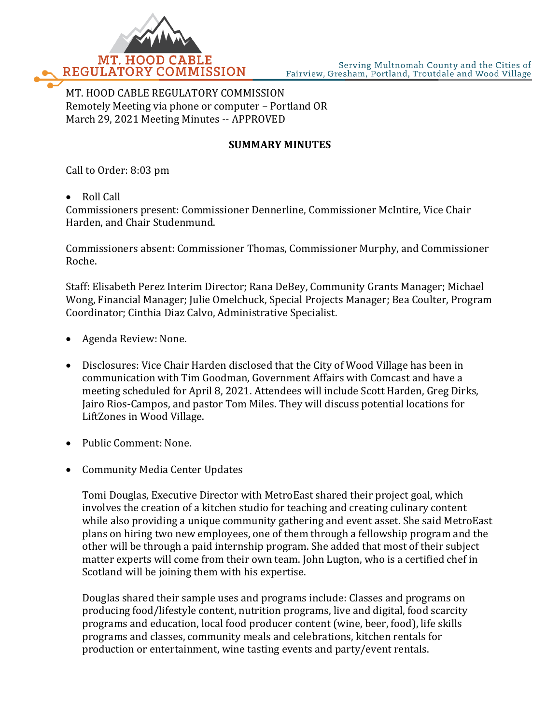

MT. HOOD CABLE REGULATORY COMMISSION Remotely Meeting via phone or computer – Portland OR March 29, 2021 Meeting Minutes -- APPROVED

## **SUMMARY MINUTES**

Call to Order: 8:03 pm

• Roll Call

Commissioners present: Commissioner Dennerline, Commissioner McIntire, Vice Chair Harden, and Chair Studenmund.

Commissioners absent: Commissioner Thomas, Commissioner Murphy, and Commissioner Roche.

Staff: Elisabeth Perez Interim Director; Rana DeBey, Community Grants Manager; Michael Wong, Financial Manager; Julie Omelchuck, Special Projects Manager; Bea Coulter, Program Coordinator; Cinthia Diaz Calvo, Administrative Specialist.

- Agenda Review: None.
- Disclosures: Vice Chair Harden disclosed that the City of Wood Village has been in communication with Tim Goodman, Government Affairs with Comcast and have a meeting scheduled for April 8, 2021. Attendees will include Scott Harden, Greg Dirks, Jairo Rios-Campos, and pastor Tom Miles. They will discuss potential locations for LiftZones in Wood Village.
- Public Comment: None.
- Community Media Center Updates

Tomi Douglas, Executive Director with MetroEast shared their project goal, which involves the creation of a kitchen studio for teaching and creating culinary content while also providing a unique community gathering and event asset. She said MetroEast plans on hiring two new employees, one of them through a fellowship program and the other will be through a paid internship program. She added that most of their subject matter experts will come from their own team. John Lugton, who is a certified chef in Scotland will be joining them with his expertise.

Douglas shared their sample uses and programs include: Classes and programs on producing food/lifestyle content, nutrition programs, live and digital, food scarcity programs and education, local food producer content (wine, beer, food), life skills programs and classes, community meals and celebrations, kitchen rentals for production or entertainment, wine tasting events and party/event rentals.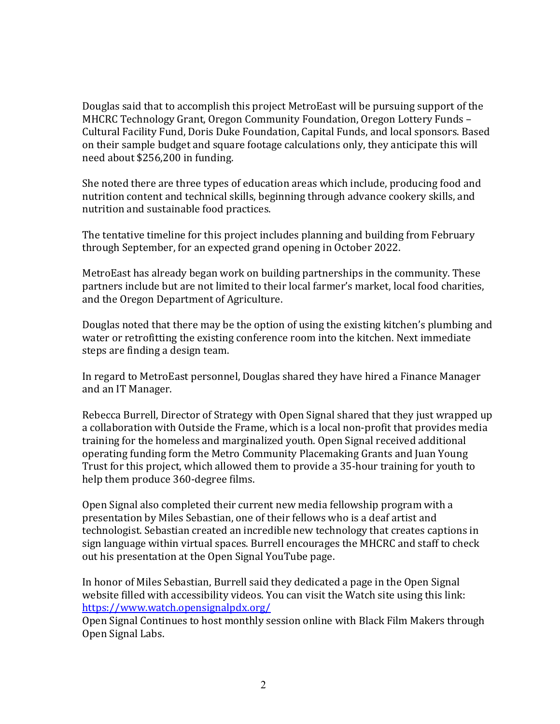Douglas said that to accomplish this project MetroEast will be pursuing support of the MHCRC Technology Grant, Oregon Community Foundation, Oregon Lottery Funds – Cultural Facility Fund, Doris Duke Foundation, Capital Funds, and local sponsors. Based on their sample budget and square footage calculations only, they anticipate this will need about \$256,200 in funding.

She noted there are three types of education areas which include, producing food and nutrition content and technical skills, beginning through advance cookery skills, and nutrition and sustainable food practices.

The tentative timeline for this project includes planning and building from February through September, for an expected grand opening in October 2022.

MetroEast has already began work on building partnerships in the community. These partners include but are not limited to their local farmer's market, local food charities, and the Oregon Department of Agriculture.

Douglas noted that there may be the option of using the existing kitchen's plumbing and water or retrofitting the existing conference room into the kitchen. Next immediate steps are finding a design team.

In regard to MetroEast personnel, Douglas shared they have hired a Finance Manager and an IT Manager.

Rebecca Burrell, Director of Strategy with Open Signal shared that they just wrapped up a collaboration with Outside the Frame, which is a local non-profit that provides media training for the homeless and marginalized youth. Open Signal received additional operating funding form the Metro Community Placemaking Grants and Juan Young Trust for this project, which allowed them to provide a 35-hour training for youth to help them produce 360-degree films.

Open Signal also completed their current new media fellowship program with a presentation by Miles Sebastian, one of their fellows who is a deaf artist and technologist. Sebastian created an incredible new technology that creates captions in sign language within virtual spaces. Burrell encourages the MHCRC and staff to check out his presentation at the Open Signal YouTube page.

In honor of Miles Sebastian, Burrell said they dedicated a page in the Open Signal website filled with accessibility videos. You can visit the Watch site using this link: <https://www.watch.opensignalpdx.org/>

Open Signal Continues to host monthly session online with Black Film Makers through Open Signal Labs.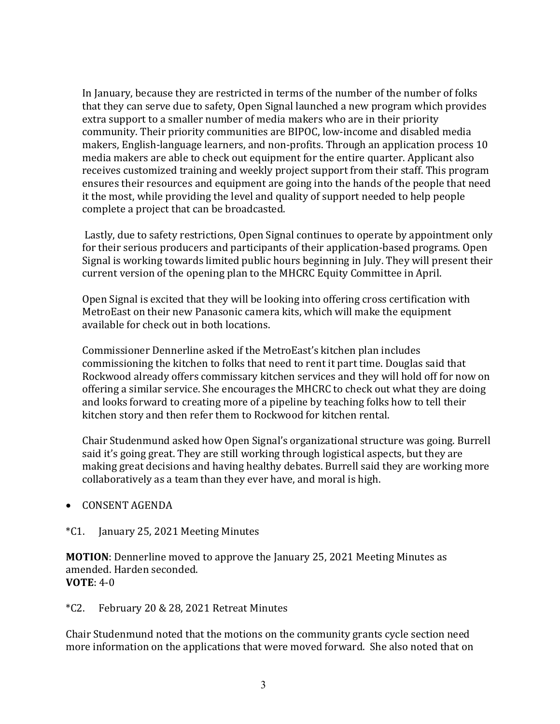In January, because they are restricted in terms of the number of the number of folks that they can serve due to safety, Open Signal launched a new program which provides extra support to a smaller number of media makers who are in their priority community. Their priority communities are BIPOC, low-income and disabled media makers, English-language learners, and non-profits. Through an application process 10 media makers are able to check out equipment for the entire quarter. Applicant also receives customized training and weekly project support from their staff. This program ensures their resources and equipment are going into the hands of the people that need it the most, while providing the level and quality of support needed to help people complete a project that can be broadcasted.

Lastly, due to safety restrictions, Open Signal continues to operate by appointment only for their serious producers and participants of their application-based programs. Open Signal is working towards limited public hours beginning in July. They will present their current version of the opening plan to the MHCRC Equity Committee in April.

Open Signal is excited that they will be looking into offering cross certification with MetroEast on their new Panasonic camera kits, which will make the equipment available for check out in both locations.

Commissioner Dennerline asked if the MetroEast's kitchen plan includes commissioning the kitchen to folks that need to rent it part time. Douglas said that Rockwood already offers commissary kitchen services and they will hold off for now on offering a similar service. She encourages the MHCRC to check out what they are doing and looks forward to creating more of a pipeline by teaching folks how to tell their kitchen story and then refer them to Rockwood for kitchen rental.

Chair Studenmund asked how Open Signal's organizational structure was going. Burrell said it's going great. They are still working through logistical aspects, but they are making great decisions and having healthy debates. Burrell said they are working more collaboratively as a team than they ever have, and moral is high.

- CONSENT AGENDA
- \*C1. January 25, 2021 Meeting Minutes

**MOTION**: Dennerline moved to approve the January 25, 2021 Meeting Minutes as amended. Harden seconded. **VOTE**: 4-0

## \*C2. February 20 & 28, 2021 Retreat Minutes

Chair Studenmund noted that the motions on the community grants cycle section need more information on the applications that were moved forward. She also noted that on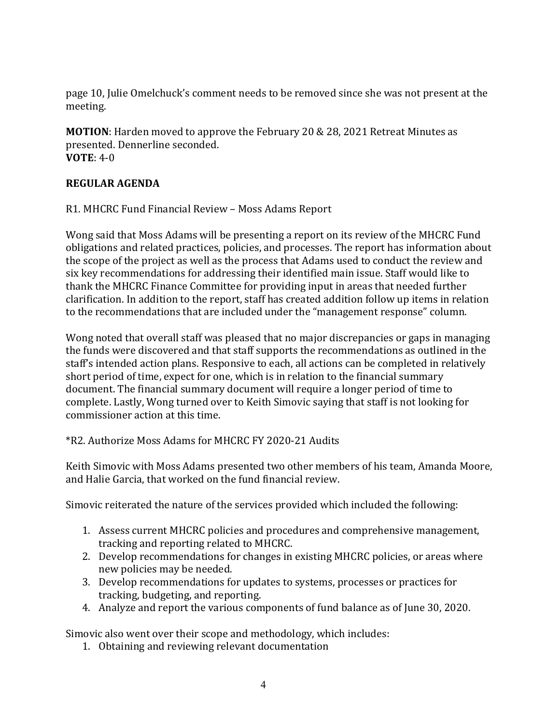page 10, Julie Omelchuck's comment needs to be removed since she was not present at the meeting.

**MOTION**: Harden moved to approve the February 20 & 28, 2021 Retreat Minutes as presented. Dennerline seconded. **VOTE**: 4-0

## **REGULAR AGENDA**

R1. MHCRC Fund Financial Review – Moss Adams Report

Wong said that Moss Adams will be presenting a report on its review of the MHCRC Fund obligations and related practices, policies, and processes. The report has information about the scope of the project as well as the process that Adams used to conduct the review and six key recommendations for addressing their identified main issue. Staff would like to thank the MHCRC Finance Committee for providing input in areas that needed further clarification. In addition to the report, staff has created addition follow up items in relation to the recommendations that are included under the "management response" column.

Wong noted that overall staff was pleased that no major discrepancies or gaps in managing the funds were discovered and that staff supports the recommendations as outlined in the staff's intended action plans. Responsive to each, all actions can be completed in relatively short period of time, expect for one, which is in relation to the financial summary document. The financial summary document will require a longer period of time to complete. Lastly, Wong turned over to Keith Simovic saying that staff is not looking for commissioner action at this time.

\*R2. Authorize Moss Adams for MHCRC FY 2020-21 Audits

Keith Simovic with Moss Adams presented two other members of his team, Amanda Moore, and Halie Garcia, that worked on the fund financial review.

Simovic reiterated the nature of the services provided which included the following:

- 1. Assess current MHCRC policies and procedures and comprehensive management, tracking and reporting related to MHCRC.
- 2. Develop recommendations for changes in existing MHCRC policies, or areas where new policies may be needed.
- 3. Develop recommendations for updates to systems, processes or practices for tracking, budgeting, and reporting.
- 4. Analyze and report the various components of fund balance as of June 30, 2020.

Simovic also went over their scope and methodology, which includes:

1. Obtaining and reviewing relevant documentation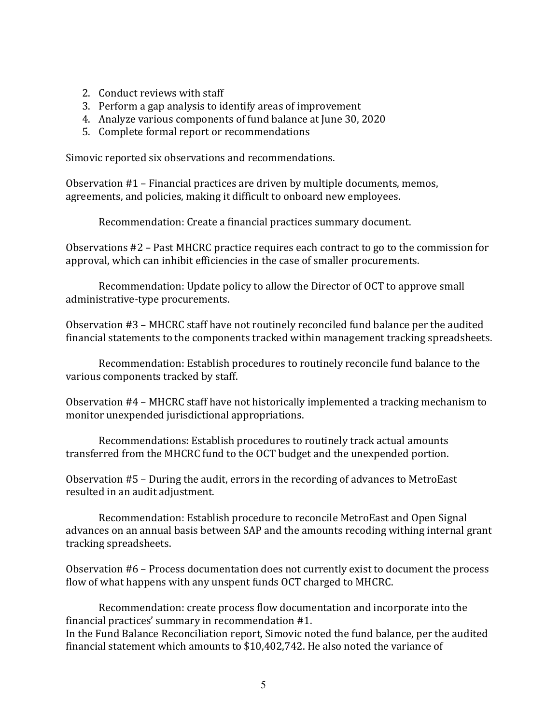- 2. Conduct reviews with staff
- 3. Perform a gap analysis to identify areas of improvement
- 4. Analyze various components of fund balance at June 30, 2020
- 5. Complete formal report or recommendations

Simovic reported six observations and recommendations.

Observation #1 – Financial practices are driven by multiple documents, memos, agreements, and policies, making it difficult to onboard new employees.

Recommendation: Create a financial practices summary document.

Observations #2 – Past MHCRC practice requires each contract to go to the commission for approval, which can inhibit efficiencies in the case of smaller procurements.

Recommendation: Update policy to allow the Director of OCT to approve small administrative-type procurements.

Observation #3 – MHCRC staff have not routinely reconciled fund balance per the audited financial statements to the components tracked within management tracking spreadsheets.

Recommendation: Establish procedures to routinely reconcile fund balance to the various components tracked by staff.

Observation #4 – MHCRC staff have not historically implemented a tracking mechanism to monitor unexpended jurisdictional appropriations.

Recommendations: Establish procedures to routinely track actual amounts transferred from the MHCRC fund to the OCT budget and the unexpended portion.

Observation #5 – During the audit, errors in the recording of advances to MetroEast resulted in an audit adjustment.

Recommendation: Establish procedure to reconcile MetroEast and Open Signal advances on an annual basis between SAP and the amounts recoding withing internal grant tracking spreadsheets.

Observation #6 – Process documentation does not currently exist to document the process flow of what happens with any unspent funds OCT charged to MHCRC.

Recommendation: create process flow documentation and incorporate into the financial practices' summary in recommendation #1. In the Fund Balance Reconciliation report, Simovic noted the fund balance, per the audited financial statement which amounts to \$10,402,742. He also noted the variance of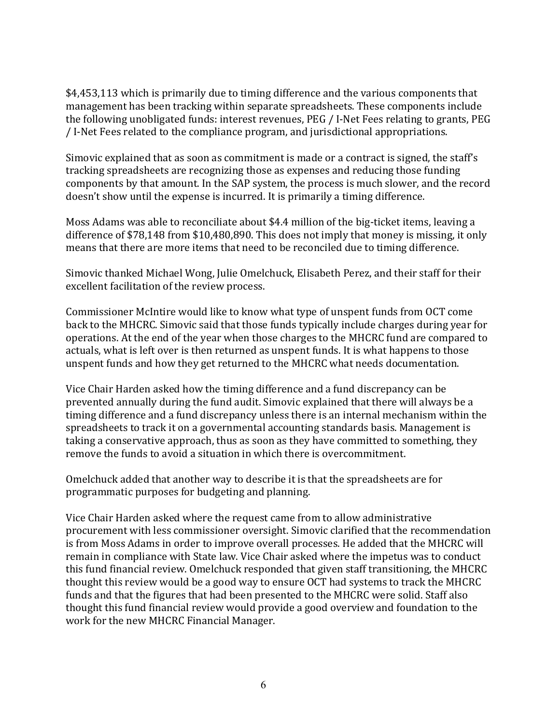\$4,453,113 which is primarily due to timing difference and the various components that management has been tracking within separate spreadsheets. These components include the following unobligated funds: interest revenues, PEG / I-Net Fees relating to grants, PEG / I-Net Fees related to the compliance program, and jurisdictional appropriations.

Simovic explained that as soon as commitment is made or a contract is signed, the staff's tracking spreadsheets are recognizing those as expenses and reducing those funding components by that amount. In the SAP system, the process is much slower, and the record doesn't show until the expense is incurred. It is primarily a timing difference.

Moss Adams was able to reconciliate about \$4.4 million of the big-ticket items, leaving a difference of \$78,148 from \$10,480,890. This does not imply that money is missing, it only means that there are more items that need to be reconciled due to timing difference.

Simovic thanked Michael Wong, Julie Omelchuck, Elisabeth Perez, and their staff for their excellent facilitation of the review process.

Commissioner McIntire would like to know what type of unspent funds from OCT come back to the MHCRC. Simovic said that those funds typically include charges during year for operations. At the end of the year when those charges to the MHCRC fund are compared to actuals, what is left over is then returned as unspent funds. It is what happens to those unspent funds and how they get returned to the MHCRC what needs documentation.

Vice Chair Harden asked how the timing difference and a fund discrepancy can be prevented annually during the fund audit. Simovic explained that there will always be a timing difference and a fund discrepancy unless there is an internal mechanism within the spreadsheets to track it on a governmental accounting standards basis. Management is taking a conservative approach, thus as soon as they have committed to something, they remove the funds to avoid a situation in which there is overcommitment.

Omelchuck added that another way to describe it is that the spreadsheets are for programmatic purposes for budgeting and planning.

Vice Chair Harden asked where the request came from to allow administrative procurement with less commissioner oversight. Simovic clarified that the recommendation is from Moss Adams in order to improve overall processes. He added that the MHCRC will remain in compliance with State law. Vice Chair asked where the impetus was to conduct this fund financial review. Omelchuck responded that given staff transitioning, the MHCRC thought this review would be a good way to ensure OCT had systems to track the MHCRC funds and that the figures that had been presented to the MHCRC were solid. Staff also thought this fund financial review would provide a good overview and foundation to the work for the new MHCRC Financial Manager.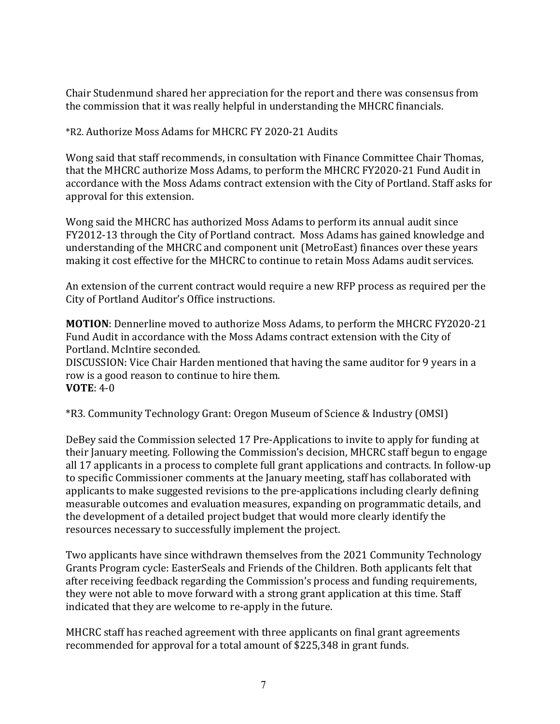Chair Studenmund shared her appreciation for the report and there was consensus from the commission that it was really helpful in understanding the MHCRC financials.

\*R2. Authorize Moss Adams for MHCRC FY 2020-21 Audits

Wong said that staff recommends, in consultation with Finance Committee Chair Thomas, that the MHCRC authorize Moss Adams, to perform the MHCRC FY2020-21 Fund Audit in accordance with the Moss Adams contract extension with the City of Portland. Staff asks for approval for this extension.

Wong said the MHCRC has authorized Moss Adams to perform its annual audit since FY2012-13 through the City of Portland contract. Moss Adams has gained knowledge and understanding of the MHCRC and component unit (MetroEast) finances over these years making it cost effective for the MHCRC to continue to retain Moss Adams audit services.

An extension of the current contract would require a new RFP process as required per the City of Portland Auditor's Office instructions.

**MOTION**: Dennerline moved to authorize Moss Adams, to perform the MHCRC FY2020-21 Fund Audit in accordance with the Moss Adams contract extension with the City of Portland. McIntire seconded.

DISCUSSION: Vice Chair Harden mentioned that having the same auditor for 9 years in a row is a good reason to continue to hire them. **VOTE**: 4-0

\*R3. Community Technology Grant: Oregon Museum of Science & Industry (OMSI)

DeBey said the Commission selected 17 Pre-Applications to invite to apply for funding at their January meeting. Following the Commission's decision, MHCRC staff begun to engage all 17 applicants in a process to complete full grant applications and contracts. In follow-up to specific Commissioner comments at the January meeting, staff has collaborated with applicants to make suggested revisions to the pre-applications including clearly defining measurable outcomes and evaluation measures, expanding on programmatic details, and the development of a detailed project budget that would more clearly identify the resources necessary to successfully implement the project.

Two applicants have since withdrawn themselves from the 2021 Community Technology Grants Program cycle: EasterSeals and Friends of the Children. Both applicants felt that after receiving feedback regarding the Commission's process and funding requirements, they were not able to move forward with a strong grant application at this time. Staff indicated that they are welcome to re-apply in the future.

MHCRC staff has reached agreement with three applicants on final grant agreements recommended for approval for a total amount of \$225,348 in grant funds.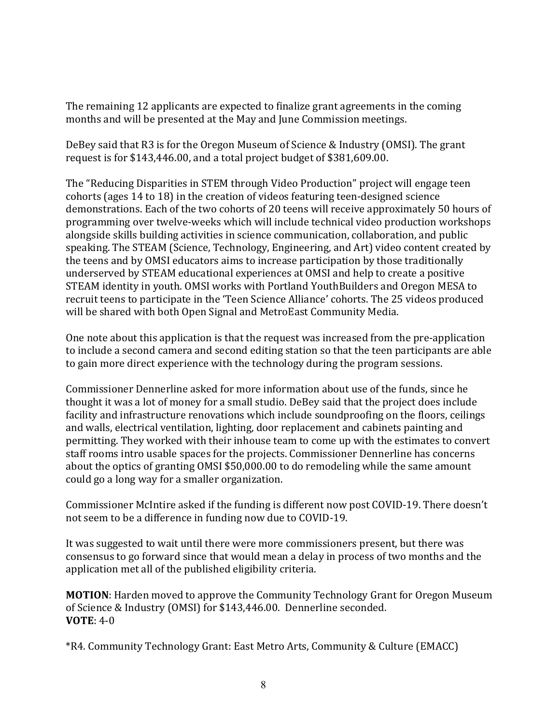The remaining 12 applicants are expected to finalize grant agreements in the coming months and will be presented at the May and June Commission meetings.

DeBey said that R3 is for the Oregon Museum of Science & Industry (OMSI). The grant request is for \$143,446.00, and a total project budget of \$381,609.00.

The "Reducing Disparities in STEM through Video Production" project will engage teen cohorts (ages 14 to 18) in the creation of videos featuring teen-designed science demonstrations. Each of the two cohorts of 20 teens will receive approximately 50 hours of programming over twelve-weeks which will include technical video production workshops alongside skills building activities in science communication, collaboration, and public speaking. The STEAM (Science, Technology, Engineering, and Art) video content created by the teens and by OMSI educators aims to increase participation by those traditionally underserved by STEAM educational experiences at OMSI and help to create a positive STEAM identity in youth. OMSI works with Portland YouthBuilders and Oregon MESA to recruit teens to participate in the 'Teen Science Alliance' cohorts. The 25 videos produced will be shared with both Open Signal and MetroEast Community Media.

One note about this application is that the request was increased from the pre-application to include a second camera and second editing station so that the teen participants are able to gain more direct experience with the technology during the program sessions.

Commissioner Dennerline asked for more information about use of the funds, since he thought it was a lot of money for a small studio. DeBey said that the project does include facility and infrastructure renovations which include soundproofing on the floors, ceilings and walls, electrical ventilation, lighting, door replacement and cabinets painting and permitting. They worked with their inhouse team to come up with the estimates to convert staff rooms intro usable spaces for the projects. Commissioner Dennerline has concerns about the optics of granting OMSI \$50,000.00 to do remodeling while the same amount could go a long way for a smaller organization.

Commissioner McIntire asked if the funding is different now post COVID-19. There doesn't not seem to be a difference in funding now due to COVID-19.

It was suggested to wait until there were more commissioners present, but there was consensus to go forward since that would mean a delay in process of two months and the application met all of the published eligibility criteria.

**MOTION**: Harden moved to approve the Community Technology Grant for Oregon Museum of Science & Industry (OMSI) for \$143,446.00. Dennerline seconded. **VOTE**: 4-0

\*R4. Community Technology Grant: East Metro Arts, Community & Culture (EMACC)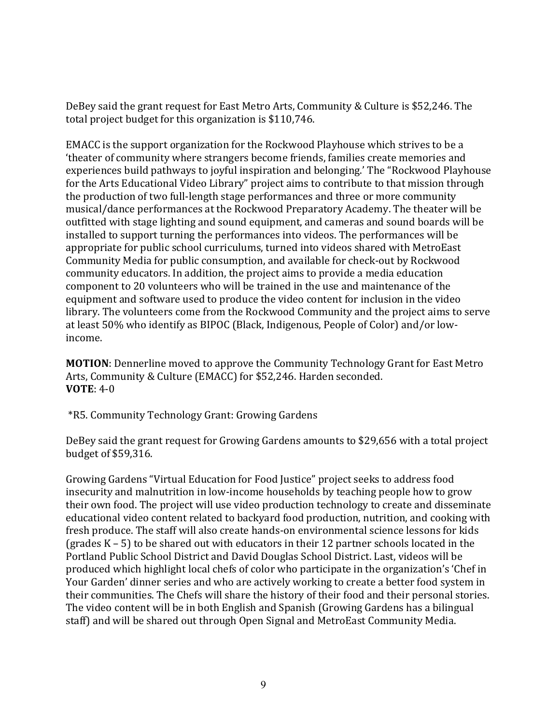DeBey said the grant request for East Metro Arts, Community & Culture is \$52,246. The total project budget for this organization is \$110,746.

EMACC is the support organization for the Rockwood Playhouse which strives to be a 'theater of community where strangers become friends, families create memories and experiences build pathways to joyful inspiration and belonging.' The "Rockwood Playhouse for the Arts Educational Video Library" project aims to contribute to that mission through the production of two full-length stage performances and three or more community musical/dance performances at the Rockwood Preparatory Academy. The theater will be outfitted with stage lighting and sound equipment, and cameras and sound boards will be installed to support turning the performances into videos. The performances will be appropriate for public school curriculums, turned into videos shared with MetroEast Community Media for public consumption, and available for check-out by Rockwood community educators. In addition, the project aims to provide a media education component to 20 volunteers who will be trained in the use and maintenance of the equipment and software used to produce the video content for inclusion in the video library. The volunteers come from the Rockwood Community and the project aims to serve at least 50% who identify as BIPOC (Black, Indigenous, People of Color) and/or lowincome.

**MOTION**: Dennerline moved to approve the Community Technology Grant for East Metro Arts, Community & Culture (EMACC) for \$52,246. Harden seconded. **VOTE**: 4-0

\*R5. Community Technology Grant: Growing Gardens

DeBey said the grant request for Growing Gardens amounts to \$29,656 with a total project budget of \$59,316.

Growing Gardens "Virtual Education for Food Justice" project seeks to address food insecurity and malnutrition in low-income households by teaching people how to grow their own food. The project will use video production technology to create and disseminate educational video content related to backyard food production, nutrition, and cooking with fresh produce. The staff will also create hands-on environmental science lessons for kids (grades K – 5) to be shared out with educators in their 12 partner schools located in the Portland Public School District and David Douglas School District. Last, videos will be produced which highlight local chefs of color who participate in the organization's 'Chef in Your Garden' dinner series and who are actively working to create a better food system in their communities. The Chefs will share the history of their food and their personal stories. The video content will be in both English and Spanish (Growing Gardens has a bilingual staff) and will be shared out through Open Signal and MetroEast Community Media.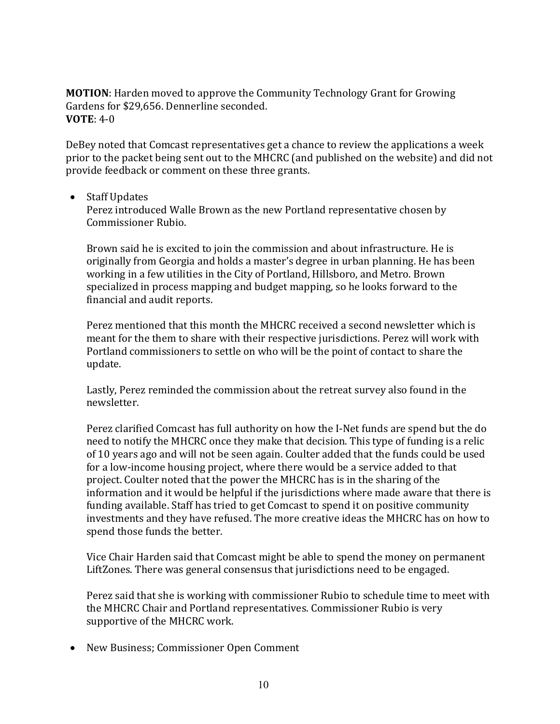**MOTION**: Harden moved to approve the Community Technology Grant for Growing Gardens for \$29,656. Dennerline seconded. **VOTE**: 4-0

DeBey noted that Comcast representatives get a chance to review the applications a week prior to the packet being sent out to the MHCRC (and published on the website) and did not provide feedback or comment on these three grants.

• Staff Updates

Perez introduced Walle Brown as the new Portland representative chosen by Commissioner Rubio.

Brown said he is excited to join the commission and about infrastructure. He is originally from Georgia and holds a master's degree in urban planning. He has been working in a few utilities in the City of Portland, Hillsboro, and Metro. Brown specialized in process mapping and budget mapping, so he looks forward to the financial and audit reports.

Perez mentioned that this month the MHCRC received a second newsletter which is meant for the them to share with their respective jurisdictions. Perez will work with Portland commissioners to settle on who will be the point of contact to share the update.

Lastly, Perez reminded the commission about the retreat survey also found in the newsletter.

Perez clarified Comcast has full authority on how the I-Net funds are spend but the do need to notify the MHCRC once they make that decision. This type of funding is a relic of 10 years ago and will not be seen again. Coulter added that the funds could be used for a low-income housing project, where there would be a service added to that project. Coulter noted that the power the MHCRC has is in the sharing of the information and it would be helpful if the jurisdictions where made aware that there is funding available. Staff has tried to get Comcast to spend it on positive community investments and they have refused. The more creative ideas the MHCRC has on how to spend those funds the better.

Vice Chair Harden said that Comcast might be able to spend the money on permanent LiftZones. There was general consensus that jurisdictions need to be engaged.

Perez said that she is working with commissioner Rubio to schedule time to meet with the MHCRC Chair and Portland representatives. Commissioner Rubio is very supportive of the MHCRC work.

• New Business; Commissioner Open Comment